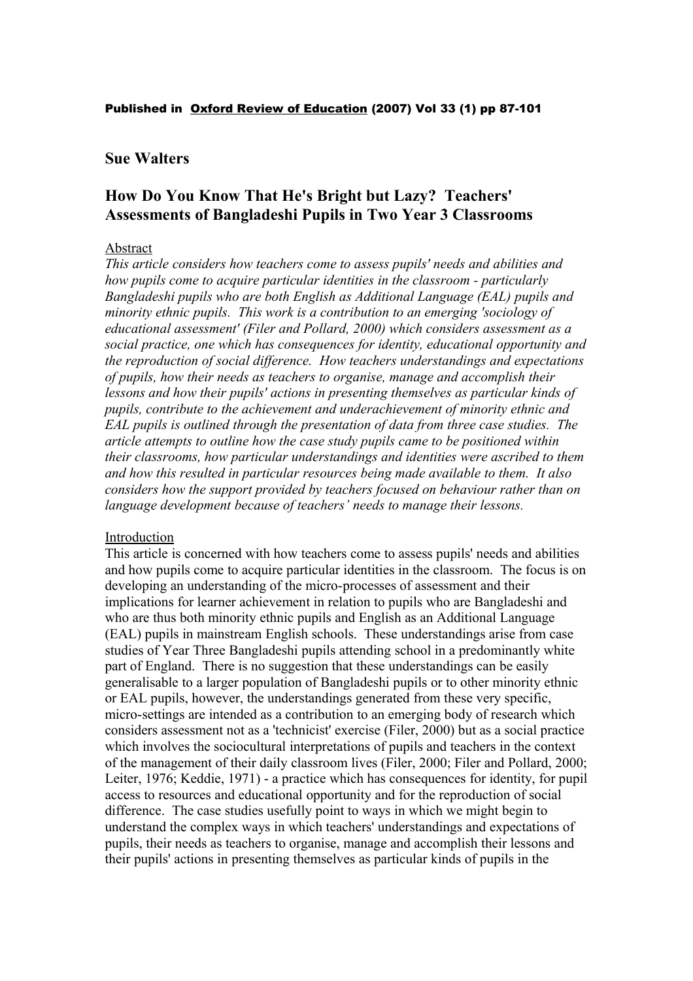#### Published in Oxford Review of Education (2007) Vol 33 (1) pp 87-101

## **Sue Walters**

# **How Do You Know That He's Bright but Lazy? Teachers' Assessments of Bangladeshi Pupils in Two Year 3 Classrooms**

## Abstract

*This article considers how teachers come to assess pupils' needs and abilities and how pupils come to acquire particular identities in the classroom - particularly Bangladeshi pupils who are both English as Additional Language (EAL) pupils and minority ethnic pupils. This work is a contribution to an emerging 'sociology of educational assessment' (Filer and Pollard, 2000) which considers assessment as a social practice, one which has consequences for identity, educational opportunity and the reproduction of social difference. How teachers understandings and expectations of pupils, how their needs as teachers to organise, manage and accomplish their lessons and how their pupils' actions in presenting themselves as particular kinds of pupils, contribute to the achievement and underachievement of minority ethnic and EAL pupils is outlined through the presentation of data from three case studies. The article attempts to outline how the case study pupils came to be positioned within their classrooms, how particular understandings and identities were ascribed to them and how this resulted in particular resources being made available to them. It also considers how the support provided by teachers focused on behaviour rather than on language development because of teachers' needs to manage their lessons.*

## Introduction

This article is concerned with how teachers come to assess pupils' needs and abilities and how pupils come to acquire particular identities in the classroom. The focus is on developing an understanding of the micro-processes of assessment and their implications for learner achievement in relation to pupils who are Bangladeshi and who are thus both minority ethnic pupils and English as an Additional Language (EAL) pupils in mainstream English schools. These understandings arise from case studies of Year Three Bangladeshi pupils attending school in a predominantly white part of England. There is no suggestion that these understandings can be easily generalisable to a larger population of Bangladeshi pupils or to other minority ethnic or EAL pupils, however, the understandings generated from these very specific, micro-settings are intended as a contribution to an emerging body of research which considers assessment not as a 'technicist' exercise (Filer, 2000) but as a social practice which involves the sociocultural interpretations of pupils and teachers in the context of the management of their daily classroom lives (Filer, 2000; Filer and Pollard, 2000; Leiter, 1976; Keddie, 1971) - a practice which has consequences for identity, for pupil access to resources and educational opportunity and for the reproduction of social difference. The case studies usefully point to ways in which we might begin to understand the complex ways in which teachers' understandings and expectations of pupils, their needs as teachers to organise, manage and accomplish their lessons and their pupils' actions in presenting themselves as particular kinds of pupils in the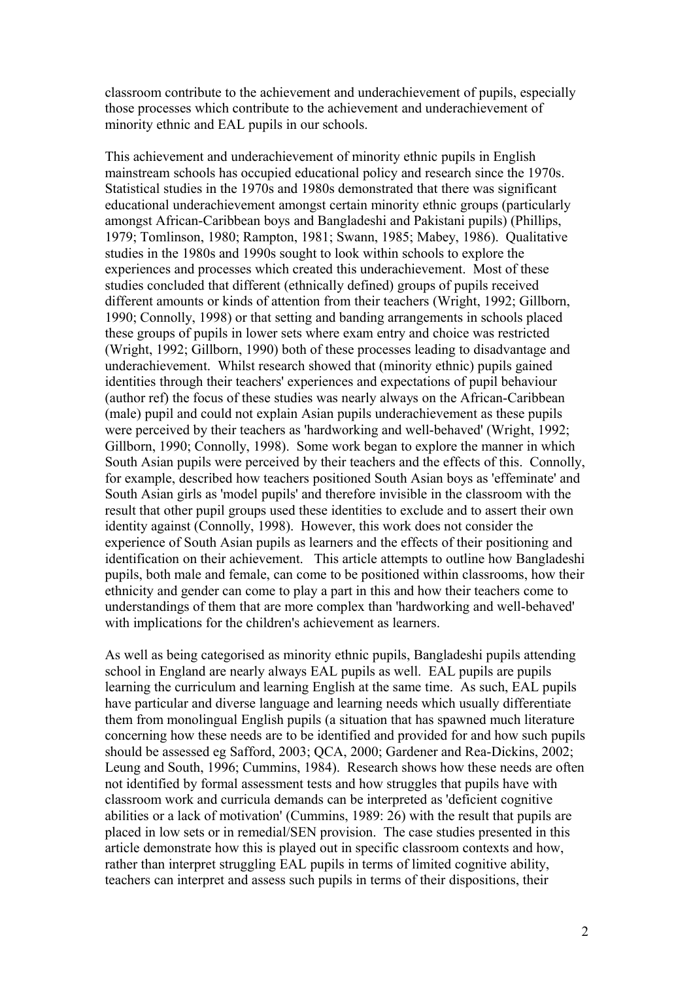classroom contribute to the achievement and underachievement of pupils, especially those processes which contribute to the achievement and underachievement of minority ethnic and EAL pupils in our schools.

This achievement and underachievement of minority ethnic pupils in English mainstream schools has occupied educational policy and research since the 1970s. Statistical studies in the 1970s and 1980s demonstrated that there was significant educational underachievement amongst certain minority ethnic groups (particularly amongst African-Caribbean boys and Bangladeshi and Pakistani pupils) (Phillips, 1979; Tomlinson, 1980; Rampton, 1981; Swann, 1985; Mabey, 1986). Qualitative studies in the 1980s and 1990s sought to look within schools to explore the experiences and processes which created this underachievement. Most of these studies concluded that different (ethnically defined) groups of pupils received different amounts or kinds of attention from their teachers (Wright, 1992; Gillborn, 1990; Connolly, 1998) or that setting and banding arrangements in schools placed these groups of pupils in lower sets where exam entry and choice was restricted (Wright, 1992; Gillborn, 1990) both of these processes leading to disadvantage and underachievement. Whilst research showed that (minority ethnic) pupils gained identities through their teachers' experiences and expectations of pupil behaviour (author ref) the focus of these studies was nearly always on the African-Caribbean (male) pupil and could not explain Asian pupils underachievement as these pupils were perceived by their teachers as 'hardworking and well-behaved' (Wright, 1992; Gillborn, 1990; Connolly, 1998). Some work began to explore the manner in which South Asian pupils were perceived by their teachers and the effects of this. Connolly, for example, described how teachers positioned South Asian boys as 'effeminate' and South Asian girls as 'model pupils' and therefore invisible in the classroom with the result that other pupil groups used these identities to exclude and to assert their own identity against (Connolly, 1998). However, this work does not consider the experience of South Asian pupils as learners and the effects of their positioning and identification on their achievement. This article attempts to outline how Bangladeshi pupils, both male and female, can come to be positioned within classrooms, how their ethnicity and gender can come to play a part in this and how their teachers come to understandings of them that are more complex than 'hardworking and well-behaved' with implications for the children's achievement as learners.

As well as being categorised as minority ethnic pupils, Bangladeshi pupils attending school in England are nearly always EAL pupils as well. EAL pupils are pupils learning the curriculum and learning English at the same time. As such, EAL pupils have particular and diverse language and learning needs which usually differentiate them from monolingual English pupils (a situation that has spawned much literature concerning how these needs are to be identified and provided for and how such pupils should be assessed eg Safford, 2003; QCA, 2000; Gardener and Rea-Dickins, 2002; Leung and South, 1996; Cummins, 1984). Research shows how these needs are often not identified by formal assessment tests and how struggles that pupils have with classroom work and curricula demands can be interpreted as 'deficient cognitive abilities or a lack of motivation' (Cummins, 1989: 26) with the result that pupils are placed in low sets or in remedial/SEN provision. The case studies presented in this article demonstrate how this is played out in specific classroom contexts and how, rather than interpret struggling EAL pupils in terms of limited cognitive ability, teachers can interpret and assess such pupils in terms of their dispositions, their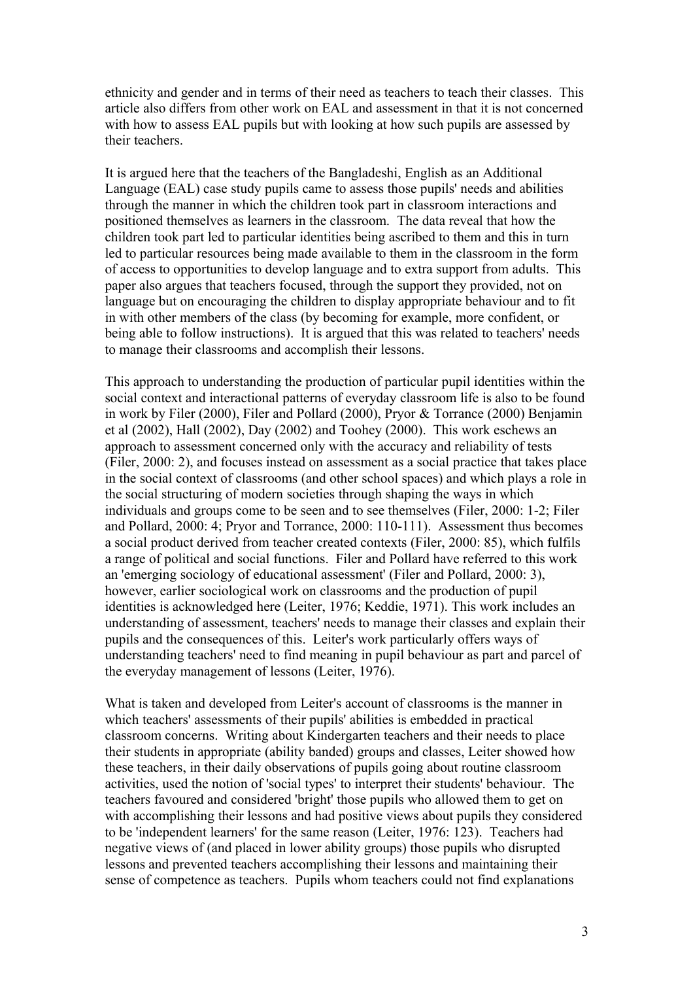ethnicity and gender and in terms of their need as teachers to teach their classes. This article also differs from other work on EAL and assessment in that it is not concerned with how to assess EAL pupils but with looking at how such pupils are assessed by their teachers.

It is argued here that the teachers of the Bangladeshi, English as an Additional Language (EAL) case study pupils came to assess those pupils' needs and abilities through the manner in which the children took part in classroom interactions and positioned themselves as learners in the classroom. The data reveal that how the children took part led to particular identities being ascribed to them and this in turn led to particular resources being made available to them in the classroom in the form of access to opportunities to develop language and to extra support from adults. This paper also argues that teachers focused, through the support they provided, not on language but on encouraging the children to display appropriate behaviour and to fit in with other members of the class (by becoming for example, more confident, or being able to follow instructions). It is argued that this was related to teachers' needs to manage their classrooms and accomplish their lessons.

This approach to understanding the production of particular pupil identities within the social context and interactional patterns of everyday classroom life is also to be found in work by Filer (2000), Filer and Pollard (2000), Pryor & Torrance (2000) Benjamin et al (2002), Hall (2002), Day (2002) and Toohey (2000). This work eschews an approach to assessment concerned only with the accuracy and reliability of tests (Filer, 2000: 2), and focuses instead on assessment as a social practice that takes place in the social context of classrooms (and other school spaces) and which plays a role in the social structuring of modern societies through shaping the ways in which individuals and groups come to be seen and to see themselves (Filer, 2000: 1-2; Filer and Pollard, 2000: 4; Pryor and Torrance, 2000: 110-111). Assessment thus becomes a social product derived from teacher created contexts (Filer, 2000: 85), which fulfils a range of political and social functions. Filer and Pollard have referred to this work an 'emerging sociology of educational assessment' (Filer and Pollard, 2000: 3), however, earlier sociological work on classrooms and the production of pupil identities is acknowledged here (Leiter, 1976; Keddie, 1971). This work includes an understanding of assessment, teachers' needs to manage their classes and explain their pupils and the consequences of this. Leiter's work particularly offers ways of understanding teachers' need to find meaning in pupil behaviour as part and parcel of the everyday management of lessons (Leiter, 1976).

What is taken and developed from Leiter's account of classrooms is the manner in which teachers' assessments of their pupils' abilities is embedded in practical classroom concerns. Writing about Kindergarten teachers and their needs to place their students in appropriate (ability banded) groups and classes, Leiter showed how these teachers, in their daily observations of pupils going about routine classroom activities, used the notion of 'social types' to interpret their students' behaviour. The teachers favoured and considered 'bright' those pupils who allowed them to get on with accomplishing their lessons and had positive views about pupils they considered to be 'independent learners' for the same reason (Leiter, 1976: 123). Teachers had negative views of (and placed in lower ability groups) those pupils who disrupted lessons and prevented teachers accomplishing their lessons and maintaining their sense of competence as teachers. Pupils whom teachers could not find explanations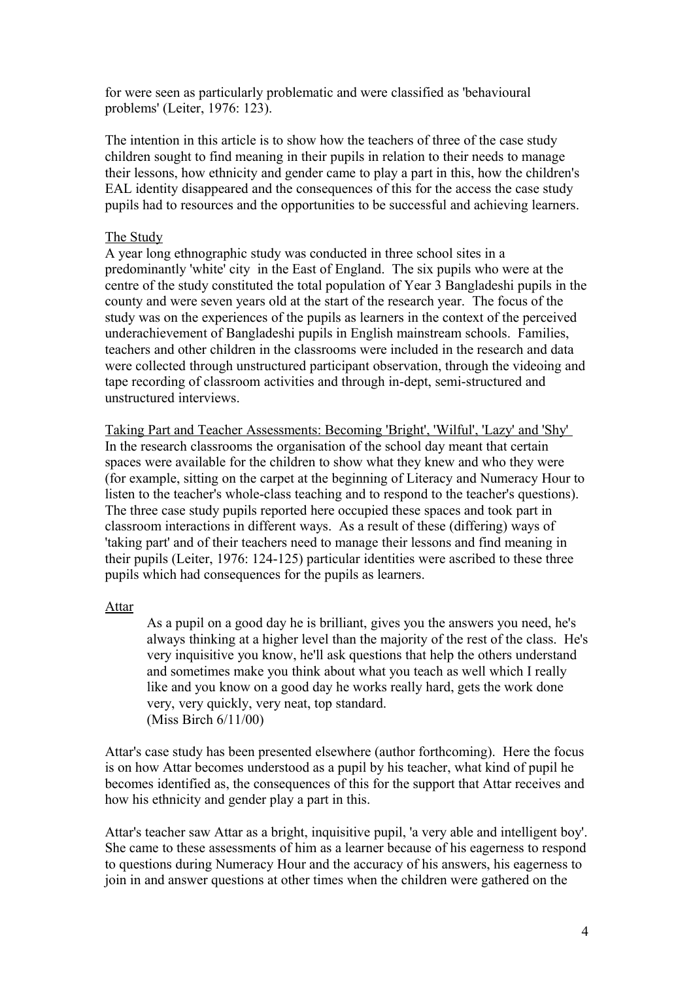for were seen as particularly problematic and were classified as 'behavioural problems' (Leiter, 1976: 123).

The intention in this article is to show how the teachers of three of the case study children sought to find meaning in their pupils in relation to their needs to manage their lessons, how ethnicity and gender came to play a part in this, how the children's EAL identity disappeared and the consequences of this for the access the case study pupils had to resources and the opportunities to be successful and achieving learners.

## The Study

A year long ethnographic study was conducted in three school sites in a predominantly 'white' city in the East of England. The six pupils who were at the centre of the study constituted the total population of Year 3 Bangladeshi pupils in the county and were seven years old at the start of the research year. The focus of the study was on the experiences of the pupils as learners in the context of the perceived underachievement of Bangladeshi pupils in English mainstream schools. Families, teachers and other children in the classrooms were included in the research and data were collected through unstructured participant observation, through the videoing and tape recording of classroom activities and through in-dept, semi-structured and unstructured interviews.

Taking Part and Teacher Assessments: Becoming 'Bright', 'Wilful', 'Lazy' and 'Shy' In the research classrooms the organisation of the school day meant that certain spaces were available for the children to show what they knew and who they were (for example, sitting on the carpet at the beginning of Literacy and Numeracy Hour to listen to the teacher's whole-class teaching and to respond to the teacher's questions). The three case study pupils reported here occupied these spaces and took part in classroom interactions in different ways. As a result of these (differing) ways of 'taking part' and of their teachers need to manage their lessons and find meaning in their pupils (Leiter, 1976: 124-125) particular identities were ascribed to these three pupils which had consequences for the pupils as learners.

## Attar

As a pupil on a good day he is brilliant, gives you the answers you need, he's always thinking at a higher level than the majority of the rest of the class. He's very inquisitive you know, he'll ask questions that help the others understand and sometimes make you think about what you teach as well which I really like and you know on a good day he works really hard, gets the work done very, very quickly, very neat, top standard. (Miss Birch 6/11/00)

Attar's case study has been presented elsewhere (author forthcoming). Here the focus is on how Attar becomes understood as a pupil by his teacher, what kind of pupil he becomes identified as, the consequences of this for the support that Attar receives and how his ethnicity and gender play a part in this.

Attar's teacher saw Attar as a bright, inquisitive pupil, 'a very able and intelligent boy'. She came to these assessments of him as a learner because of his eagerness to respond to questions during Numeracy Hour and the accuracy of his answers, his eagerness to join in and answer questions at other times when the children were gathered on the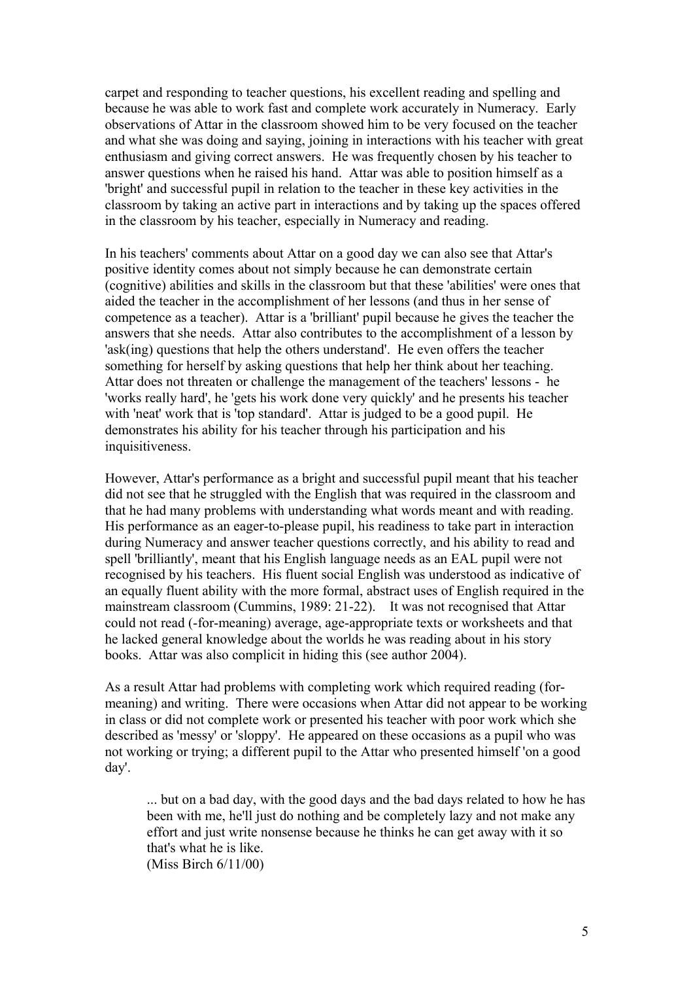carpet and responding to teacher questions, his excellent reading and spelling and because he was able to work fast and complete work accurately in Numeracy. Early observations of Attar in the classroom showed him to be very focused on the teacher and what she was doing and saying, joining in interactions with his teacher with great enthusiasm and giving correct answers. He was frequently chosen by his teacher to answer questions when he raised his hand. Attar was able to position himself as a 'bright' and successful pupil in relation to the teacher in these key activities in the classroom by taking an active part in interactions and by taking up the spaces offered in the classroom by his teacher, especially in Numeracy and reading.

In his teachers' comments about Attar on a good day we can also see that Attar's positive identity comes about not simply because he can demonstrate certain (cognitive) abilities and skills in the classroom but that these 'abilities' were ones that aided the teacher in the accomplishment of her lessons (and thus in her sense of competence as a teacher). Attar is a 'brilliant' pupil because he gives the teacher the answers that she needs. Attar also contributes to the accomplishment of a lesson by 'ask(ing) questions that help the others understand'. He even offers the teacher something for herself by asking questions that help her think about her teaching. Attar does not threaten or challenge the management of the teachers' lessons - he 'works really hard', he 'gets his work done very quickly' and he presents his teacher with 'neat' work that is 'top standard'. Attar is judged to be a good pupil. He demonstrates his ability for his teacher through his participation and his inquisitiveness.

However, Attar's performance as a bright and successful pupil meant that his teacher did not see that he struggled with the English that was required in the classroom and that he had many problems with understanding what words meant and with reading. His performance as an eager-to-please pupil, his readiness to take part in interaction during Numeracy and answer teacher questions correctly, and his ability to read and spell 'brilliantly', meant that his English language needs as an EAL pupil were not recognised by his teachers. His fluent social English was understood as indicative of an equally fluent ability with the more formal, abstract uses of English required in the mainstream classroom (Cummins, 1989: 21-22). It was not recognised that Attar could not read (-for-meaning) average, age-appropriate texts or worksheets and that he lacked general knowledge about the worlds he was reading about in his story books. Attar was also complicit in hiding this (see author 2004).

As a result Attar had problems with completing work which required reading (formeaning) and writing. There were occasions when Attar did not appear to be working in class or did not complete work or presented his teacher with poor work which she described as 'messy' or 'sloppy'. He appeared on these occasions as a pupil who was not working or trying; a different pupil to the Attar who presented himself 'on a good day'.

... but on a bad day, with the good days and the bad days related to how he has been with me, he'll just do nothing and be completely lazy and not make any effort and just write nonsense because he thinks he can get away with it so that's what he is like.

(Miss Birch 6/11/00)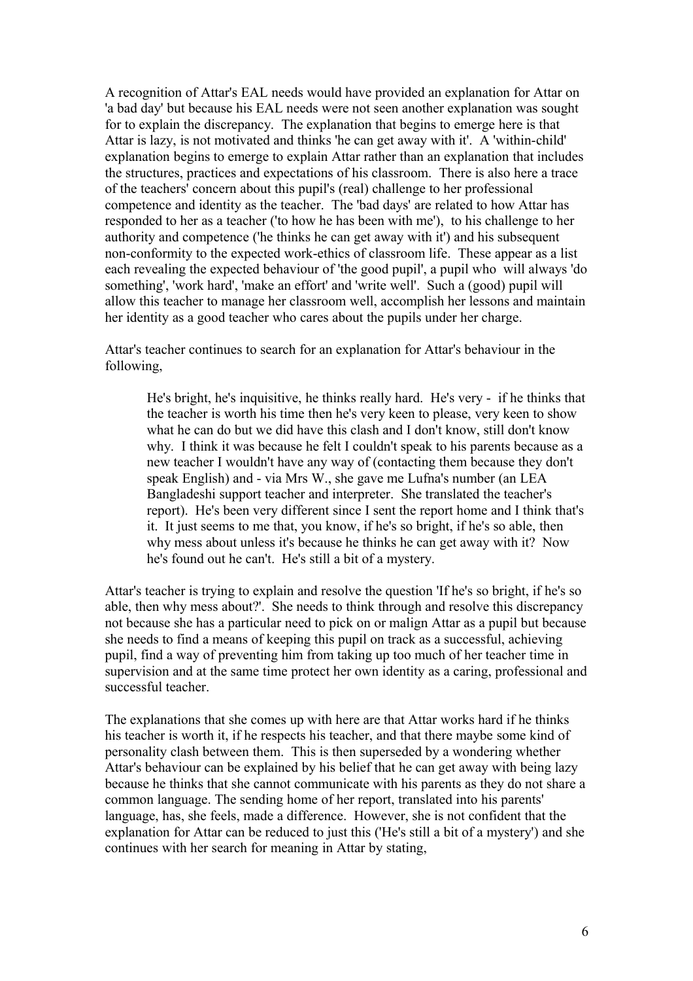A recognition of Attar's EAL needs would have provided an explanation for Attar on 'a bad day' but because his EAL needs were not seen another explanation was sought for to explain the discrepancy. The explanation that begins to emerge here is that Attar is lazy, is not motivated and thinks 'he can get away with it'. A 'within-child' explanation begins to emerge to explain Attar rather than an explanation that includes the structures, practices and expectations of his classroom. There is also here a trace of the teachers' concern about this pupil's (real) challenge to her professional competence and identity as the teacher. The 'bad days' are related to how Attar has responded to her as a teacher ('to how he has been with me'), to his challenge to her authority and competence ('he thinks he can get away with it') and his subsequent non-conformity to the expected work-ethics of classroom life. These appear as a list each revealing the expected behaviour of 'the good pupil', a pupil who will always 'do something', 'work hard', 'make an effort' and 'write well'. Such a (good) pupil will allow this teacher to manage her classroom well, accomplish her lessons and maintain her identity as a good teacher who cares about the pupils under her charge.

Attar's teacher continues to search for an explanation for Attar's behaviour in the following,

He's bright, he's inquisitive, he thinks really hard. He's very - if he thinks that the teacher is worth his time then he's very keen to please, very keen to show what he can do but we did have this clash and I don't know, still don't know why. I think it was because he felt I couldn't speak to his parents because as a new teacher I wouldn't have any way of (contacting them because they don't speak English) and - via Mrs W., she gave me Lufna's number (an LEA Bangladeshi support teacher and interpreter. She translated the teacher's report). He's been very different since I sent the report home and I think that's it. It just seems to me that, you know, if he's so bright, if he's so able, then why mess about unless it's because he thinks he can get away with it? Now he's found out he can't. He's still a bit of a mystery.

Attar's teacher is trying to explain and resolve the question 'If he's so bright, if he's so able, then why mess about?'. She needs to think through and resolve this discrepancy not because she has a particular need to pick on or malign Attar as a pupil but because she needs to find a means of keeping this pupil on track as a successful, achieving pupil, find a way of preventing him from taking up too much of her teacher time in supervision and at the same time protect her own identity as a caring, professional and successful teacher.

The explanations that she comes up with here are that Attar works hard if he thinks his teacher is worth it, if he respects his teacher, and that there maybe some kind of personality clash between them. This is then superseded by a wondering whether Attar's behaviour can be explained by his belief that he can get away with being lazy because he thinks that she cannot communicate with his parents as they do not share a common language. The sending home of her report, translated into his parents' language, has, she feels, made a difference. However, she is not confident that the explanation for Attar can be reduced to just this ('He's still a bit of a mystery') and she continues with her search for meaning in Attar by stating,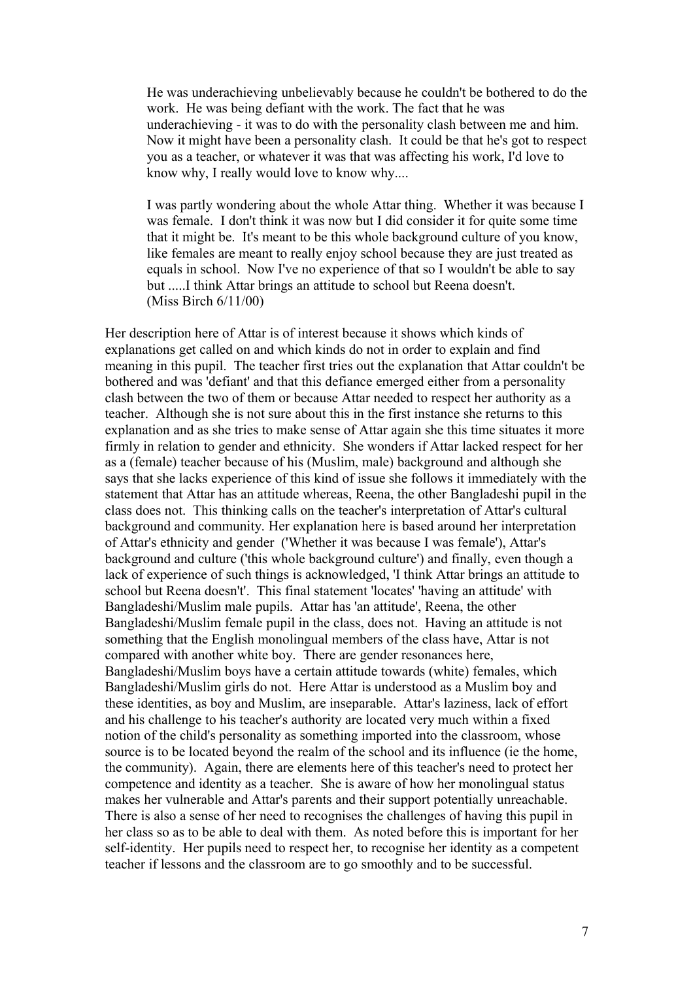He was underachieving unbelievably because he couldn't be bothered to do the work. He was being defiant with the work. The fact that he was underachieving - it was to do with the personality clash between me and him. Now it might have been a personality clash. It could be that he's got to respect you as a teacher, or whatever it was that was affecting his work, I'd love to know why, I really would love to know why....

I was partly wondering about the whole Attar thing. Whether it was because I was female. I don't think it was now but I did consider it for quite some time that it might be. It's meant to be this whole background culture of you know, like females are meant to really enjoy school because they are just treated as equals in school. Now I've no experience of that so I wouldn't be able to say but .....I think Attar brings an attitude to school but Reena doesn't. (Miss Birch 6/11/00)

Her description here of Attar is of interest because it shows which kinds of explanations get called on and which kinds do not in order to explain and find meaning in this pupil. The teacher first tries out the explanation that Attar couldn't be bothered and was 'defiant' and that this defiance emerged either from a personality clash between the two of them or because Attar needed to respect her authority as a teacher. Although she is not sure about this in the first instance she returns to this explanation and as she tries to make sense of Attar again she this time situates it more firmly in relation to gender and ethnicity. She wonders if Attar lacked respect for her as a (female) teacher because of his (Muslim, male) background and although she says that she lacks experience of this kind of issue she follows it immediately with the statement that Attar has an attitude whereas, Reena, the other Bangladeshi pupil in the class does not. This thinking calls on the teacher's interpretation of Attar's cultural background and community. Her explanation here is based around her interpretation of Attar's ethnicity and gender ('Whether it was because I was female'), Attar's background and culture ('this whole background culture') and finally, even though a lack of experience of such things is acknowledged, 'I think Attar brings an attitude to school but Reena doesn't'. This final statement 'locates' 'having an attitude' with Bangladeshi/Muslim male pupils. Attar has 'an attitude', Reena, the other Bangladeshi/Muslim female pupil in the class, does not. Having an attitude is not something that the English monolingual members of the class have, Attar is not compared with another white boy. There are gender resonances here, Bangladeshi/Muslim boys have a certain attitude towards (white) females, which Bangladeshi/Muslim girls do not. Here Attar is understood as a Muslim boy and these identities, as boy and Muslim, are inseparable. Attar's laziness, lack of effort and his challenge to his teacher's authority are located very much within a fixed notion of the child's personality as something imported into the classroom, whose source is to be located beyond the realm of the school and its influence (ie the home, the community). Again, there are elements here of this teacher's need to protect her competence and identity as a teacher. She is aware of how her monolingual status makes her vulnerable and Attar's parents and their support potentially unreachable. There is also a sense of her need to recognises the challenges of having this pupil in her class so as to be able to deal with them. As noted before this is important for her self-identity. Her pupils need to respect her, to recognise her identity as a competent teacher if lessons and the classroom are to go smoothly and to be successful.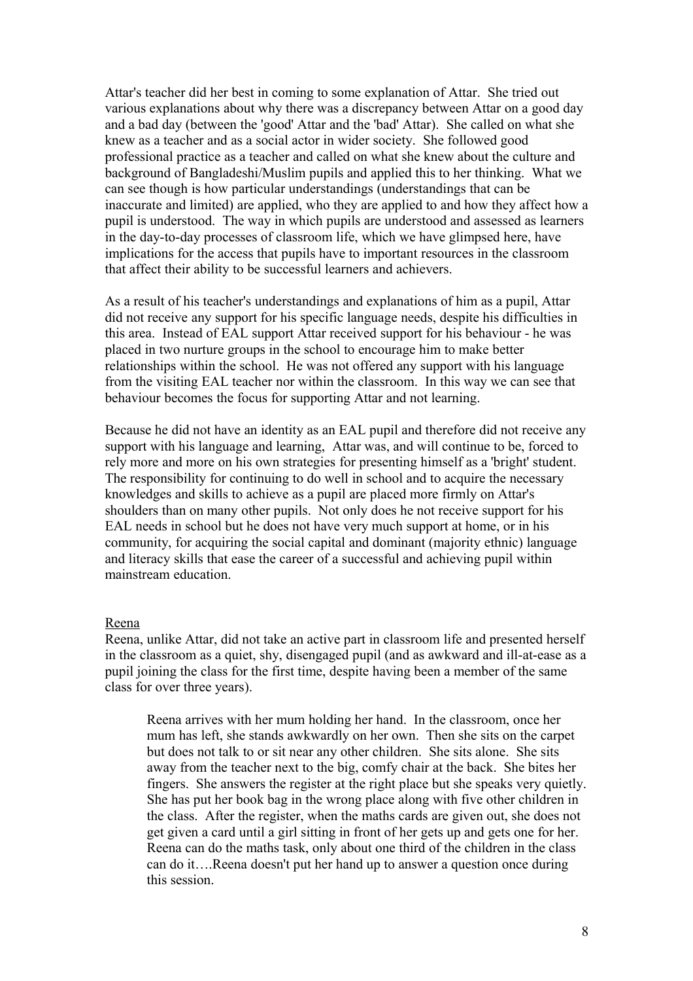Attar's teacher did her best in coming to some explanation of Attar. She tried out various explanations about why there was a discrepancy between Attar on a good day and a bad day (between the 'good' Attar and the 'bad' Attar). She called on what she knew as a teacher and as a social actor in wider society. She followed good professional practice as a teacher and called on what she knew about the culture and background of Bangladeshi/Muslim pupils and applied this to her thinking. What we can see though is how particular understandings (understandings that can be inaccurate and limited) are applied, who they are applied to and how they affect how a pupil is understood. The way in which pupils are understood and assessed as learners in the day-to-day processes of classroom life, which we have glimpsed here, have implications for the access that pupils have to important resources in the classroom that affect their ability to be successful learners and achievers.

As a result of his teacher's understandings and explanations of him as a pupil, Attar did not receive any support for his specific language needs, despite his difficulties in this area. Instead of EAL support Attar received support for his behaviour - he was placed in two nurture groups in the school to encourage him to make better relationships within the school. He was not offered any support with his language from the visiting EAL teacher nor within the classroom. In this way we can see that behaviour becomes the focus for supporting Attar and not learning.

Because he did not have an identity as an EAL pupil and therefore did not receive any support with his language and learning, Attar was, and will continue to be, forced to rely more and more on his own strategies for presenting himself as a 'bright' student. The responsibility for continuing to do well in school and to acquire the necessary knowledges and skills to achieve as a pupil are placed more firmly on Attar's shoulders than on many other pupils. Not only does he not receive support for his EAL needs in school but he does not have very much support at home, or in his community, for acquiring the social capital and dominant (majority ethnic) language and literacy skills that ease the career of a successful and achieving pupil within mainstream education.

## Reena

Reena, unlike Attar, did not take an active part in classroom life and presented herself in the classroom as a quiet, shy, disengaged pupil (and as awkward and ill-at-ease as a pupil joining the class for the first time, despite having been a member of the same class for over three years).

Reena arrives with her mum holding her hand. In the classroom, once her mum has left, she stands awkwardly on her own. Then she sits on the carpet but does not talk to or sit near any other children. She sits alone. She sits away from the teacher next to the big, comfy chair at the back. She bites her fingers. She answers the register at the right place but she speaks very quietly. She has put her book bag in the wrong place along with five other children in the class. After the register, when the maths cards are given out, she does not get given a card until a girl sitting in front of her gets up and gets one for her. Reena can do the maths task, only about one third of the children in the class can do it….Reena doesn't put her hand up to answer a question once during this session.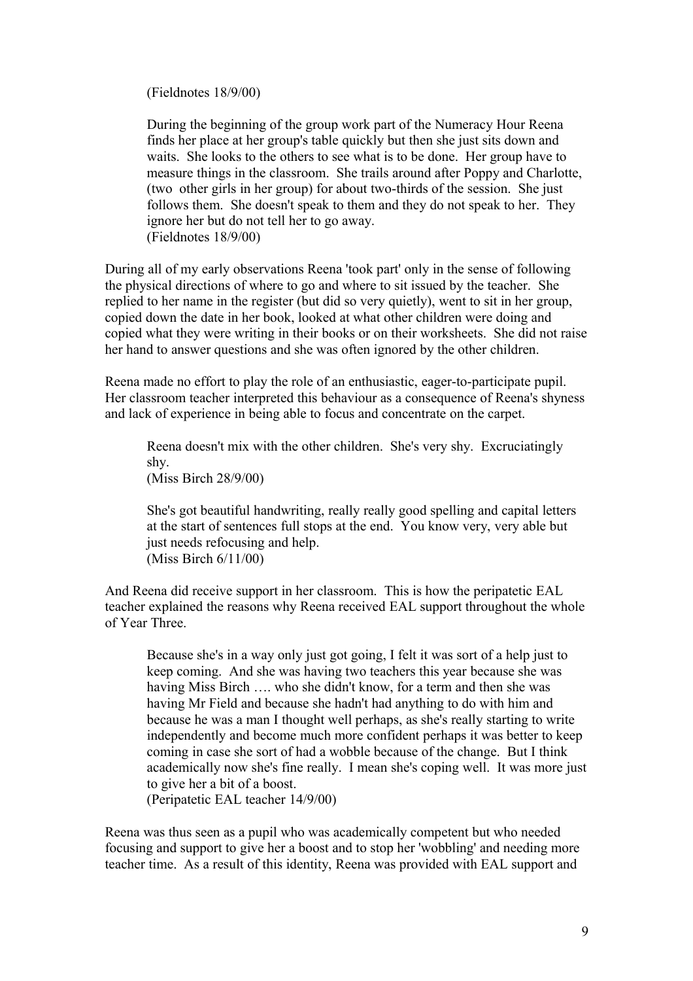(Fieldnotes 18/9/00)

During the beginning of the group work part of the Numeracy Hour Reena finds her place at her group's table quickly but then she just sits down and waits. She looks to the others to see what is to be done. Her group have to measure things in the classroom. She trails around after Poppy and Charlotte, (two other girls in her group) for about two-thirds of the session. She just follows them. She doesn't speak to them and they do not speak to her. They ignore her but do not tell her to go away. (Fieldnotes 18/9/00)

During all of my early observations Reena 'took part' only in the sense of following the physical directions of where to go and where to sit issued by the teacher. She replied to her name in the register (but did so very quietly), went to sit in her group, copied down the date in her book, looked at what other children were doing and copied what they were writing in their books or on their worksheets. She did not raise her hand to answer questions and she was often ignored by the other children.

Reena made no effort to play the role of an enthusiastic, eager-to-participate pupil. Her classroom teacher interpreted this behaviour as a consequence of Reena's shyness and lack of experience in being able to focus and concentrate on the carpet.

Reena doesn't mix with the other children. She's very shy. Excruciatingly shy. (Miss Birch 28/9/00)

She's got beautiful handwriting, really really good spelling and capital letters at the start of sentences full stops at the end. You know very, very able but just needs refocusing and help. (Miss Birch 6/11/00)

And Reena did receive support in her classroom. This is how the peripatetic EAL teacher explained the reasons why Reena received EAL support throughout the whole of Year Three.

Because she's in a way only just got going, I felt it was sort of a help just to keep coming. And she was having two teachers this year because she was having Miss Birch …. who she didn't know, for a term and then she was having Mr Field and because she hadn't had anything to do with him and because he was a man I thought well perhaps, as she's really starting to write independently and become much more confident perhaps it was better to keep coming in case she sort of had a wobble because of the change. But I think academically now she's fine really. I mean she's coping well. It was more just to give her a bit of a boost.

(Peripatetic EAL teacher 14/9/00)

Reena was thus seen as a pupil who was academically competent but who needed focusing and support to give her a boost and to stop her 'wobbling' and needing more teacher time. As a result of this identity, Reena was provided with EAL support and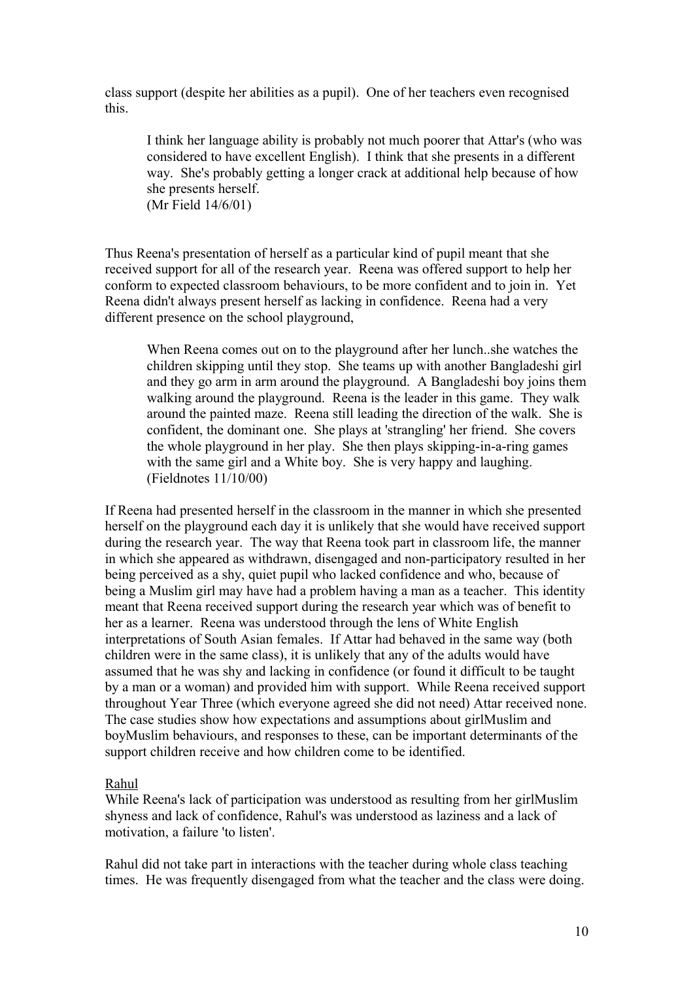class support (despite her abilities as a pupil). One of her teachers even recognised this.

I think her language ability is probably not much poorer that Attar's (who was considered to have excellent English). I think that she presents in a different way. She's probably getting a longer crack at additional help because of how she presents herself. (Mr Field 14/6/01)

Thus Reena's presentation of herself as a particular kind of pupil meant that she received support for all of the research year. Reena was offered support to help her conform to expected classroom behaviours, to be more confident and to join in. Yet Reena didn't always present herself as lacking in confidence. Reena had a very different presence on the school playground,

When Reena comes out on to the playground after her lunch..she watches the children skipping until they stop. She teams up with another Bangladeshi girl and they go arm in arm around the playground. A Bangladeshi boy joins them walking around the playground. Reena is the leader in this game. They walk around the painted maze. Reena still leading the direction of the walk. She is confident, the dominant one. She plays at 'strangling' her friend. She covers the whole playground in her play. She then plays skipping-in-a-ring games with the same girl and a White boy. She is very happy and laughing. (Fieldnotes 11/10/00)

If Reena had presented herself in the classroom in the manner in which she presented herself on the playground each day it is unlikely that she would have received support during the research year. The way that Reena took part in classroom life, the manner in which she appeared as withdrawn, disengaged and non-participatory resulted in her being perceived as a shy, quiet pupil who lacked confidence and who, because of being a Muslim girl may have had a problem having a man as a teacher. This identity meant that Reena received support during the research year which was of benefit to her as a learner. Reena was understood through the lens of White English interpretations of South Asian females. If Attar had behaved in the same way (both children were in the same class), it is unlikely that any of the adults would have assumed that he was shy and lacking in confidence (or found it difficult to be taught by a man or a woman) and provided him with support. While Reena received support throughout Year Three (which everyone agreed she did not need) Attar received none. The case studies show how expectations and assumptions about girlMuslim and boyMuslim behaviours, and responses to these, can be important determinants of the support children receive and how children come to be identified.

# Rahul

While Reena's lack of participation was understood as resulting from her girlMuslim shyness and lack of confidence, Rahul's was understood as laziness and a lack of motivation, a failure 'to listen'.

Rahul did not take part in interactions with the teacher during whole class teaching times. He was frequently disengaged from what the teacher and the class were doing.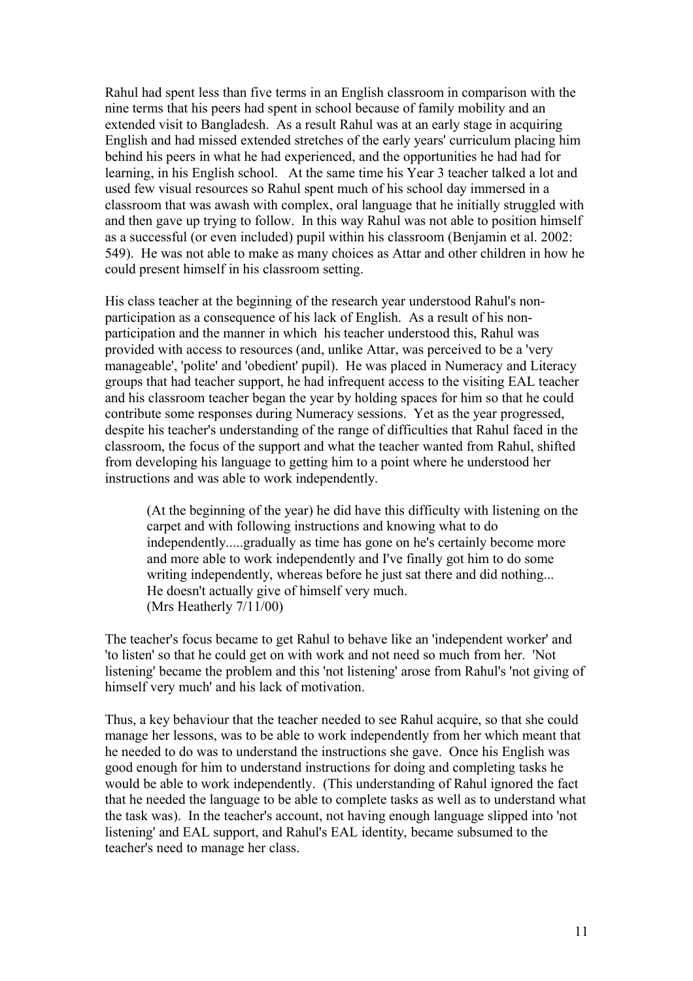Rahul had spent less than five terms in an English classroom in comparison with the nine terms that his peers had spent in school because of family mobility and an extended visit to Bangladesh. As a result Rahul was at an early stage in acquiring English and had missed extended stretches of the early years' curriculum placing him behind his peers in what he had experienced, and the opportunities he had had for learning, in his English school. At the same time his Year 3 teacher talked a lot and used few visual resources so Rahul spent much of his school day immersed in a classroom that was awash with complex, oral language that he initially struggled with and then gave up trying to follow. In this way Rahul was not able to position himself as a successful (or even included) pupil within his classroom (Benjamin et al. 2002: 549). He was not able to make as many choices as Attar and other children in how he could present himself in his classroom setting.

His class teacher at the beginning of the research year understood Rahul's nonparticipation as a consequence of his lack of English. As a result of his nonparticipation and the manner in which his teacher understood this, Rahul was provided with access to resources (and, unlike Attar, was perceived to be a 'very manageable', 'polite' and 'obedient' pupil). He was placed in Numeracy and Literacy groups that had teacher support, he had infrequent access to the visiting EAL teacher and his classroom teacher began the year by holding spaces for him so that he could contribute some responses during Numeracy sessions. Yet as the year progressed, despite his teacher's understanding of the range of difficulties that Rahul faced in the classroom, the focus of the support and what the teacher wanted from Rahul, shifted from developing his language to getting him to a point where he understood her instructions and was able to work independently.

(At the beginning of the year) he did have this difficulty with listening on the carpet and with following instructions and knowing what to do independently.....gradually as time has gone on he's certainly become more and more able to work independently and I've finally got him to do some writing independently, whereas before he just sat there and did nothing... He doesn't actually give of himself very much. (Mrs Heatherly 7/11/00)

The teacher's focus became to get Rahul to behave like an 'independent worker' and 'to listen' so that he could get on with work and not need so much from her. 'Not listening' became the problem and this 'not listening' arose from Rahul's 'not giving of himself very much' and his lack of motivation.

Thus, a key behaviour that the teacher needed to see Rahul acquire, so that she could manage her lessons, was to be able to work independently from her which meant that he needed to do was to understand the instructions she gave. Once his English was good enough for him to understand instructions for doing and completing tasks he would be able to work independently. (This understanding of Rahul ignored the fact that he needed the language to be able to complete tasks as well as to understand what the task was). In the teacher's account, not having enough language slipped into 'not listening' and EAL support, and Rahul's EAL identity, became subsumed to the teacher's need to manage her class.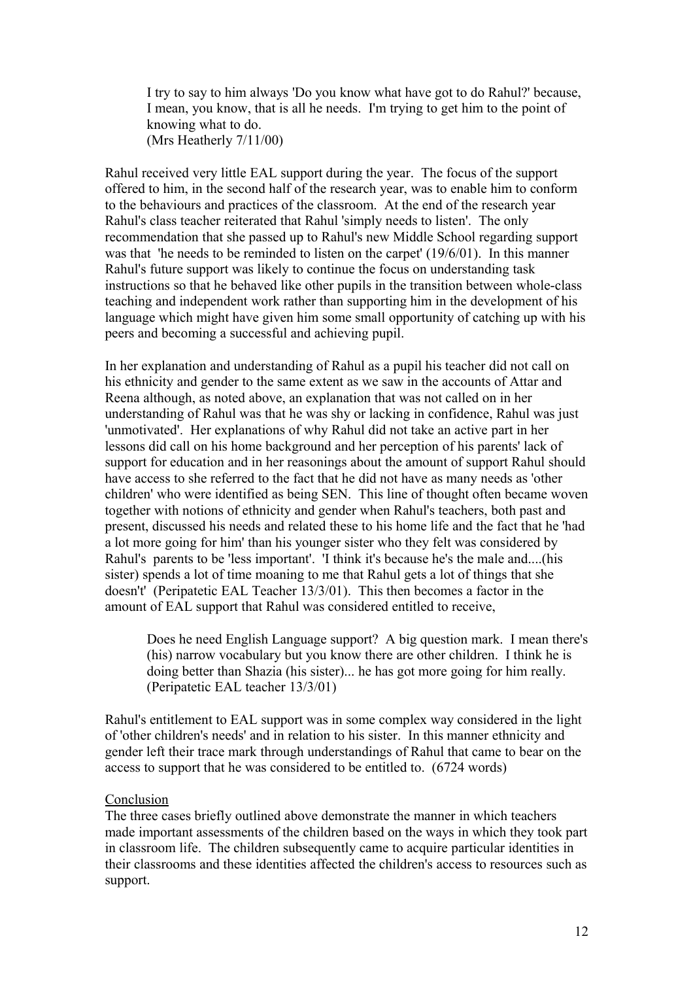I try to say to him always 'Do you know what have got to do Rahul?' because, I mean, you know, that is all he needs. I'm trying to get him to the point of knowing what to do. (Mrs Heatherly 7/11/00)

Rahul received very little EAL support during the year. The focus of the support offered to him, in the second half of the research year, was to enable him to conform to the behaviours and practices of the classroom. At the end of the research year Rahul's class teacher reiterated that Rahul 'simply needs to listen'. The only recommendation that she passed up to Rahul's new Middle School regarding support was that 'he needs to be reminded to listen on the carpet' (19/6/01). In this manner Rahul's future support was likely to continue the focus on understanding task instructions so that he behaved like other pupils in the transition between whole-class teaching and independent work rather than supporting him in the development of his language which might have given him some small opportunity of catching up with his peers and becoming a successful and achieving pupil.

In her explanation and understanding of Rahul as a pupil his teacher did not call on his ethnicity and gender to the same extent as we saw in the accounts of Attar and Reena although, as noted above, an explanation that was not called on in her understanding of Rahul was that he was shy or lacking in confidence, Rahul was just 'unmotivated'. Her explanations of why Rahul did not take an active part in her lessons did call on his home background and her perception of his parents' lack of support for education and in her reasonings about the amount of support Rahul should have access to she referred to the fact that he did not have as many needs as 'other children' who were identified as being SEN. This line of thought often became woven together with notions of ethnicity and gender when Rahul's teachers, both past and present, discussed his needs and related these to his home life and the fact that he 'had a lot more going for him' than his younger sister who they felt was considered by Rahul's parents to be 'less important'. 'I think it's because he's the male and....(his sister) spends a lot of time moaning to me that Rahul gets a lot of things that she doesn't' (Peripatetic EAL Teacher 13/3/01). This then becomes a factor in the amount of EAL support that Rahul was considered entitled to receive,

Does he need English Language support? A big question mark. I mean there's (his) narrow vocabulary but you know there are other children. I think he is doing better than Shazia (his sister)... he has got more going for him really. (Peripatetic EAL teacher 13/3/01)

Rahul's entitlement to EAL support was in some complex way considered in the light of 'other children's needs' and in relation to his sister. In this manner ethnicity and gender left their trace mark through understandings of Rahul that came to bear on the access to support that he was considered to be entitled to. (6724 words)

# Conclusion

The three cases briefly outlined above demonstrate the manner in which teachers made important assessments of the children based on the ways in which they took part in classroom life. The children subsequently came to acquire particular identities in their classrooms and these identities affected the children's access to resources such as support.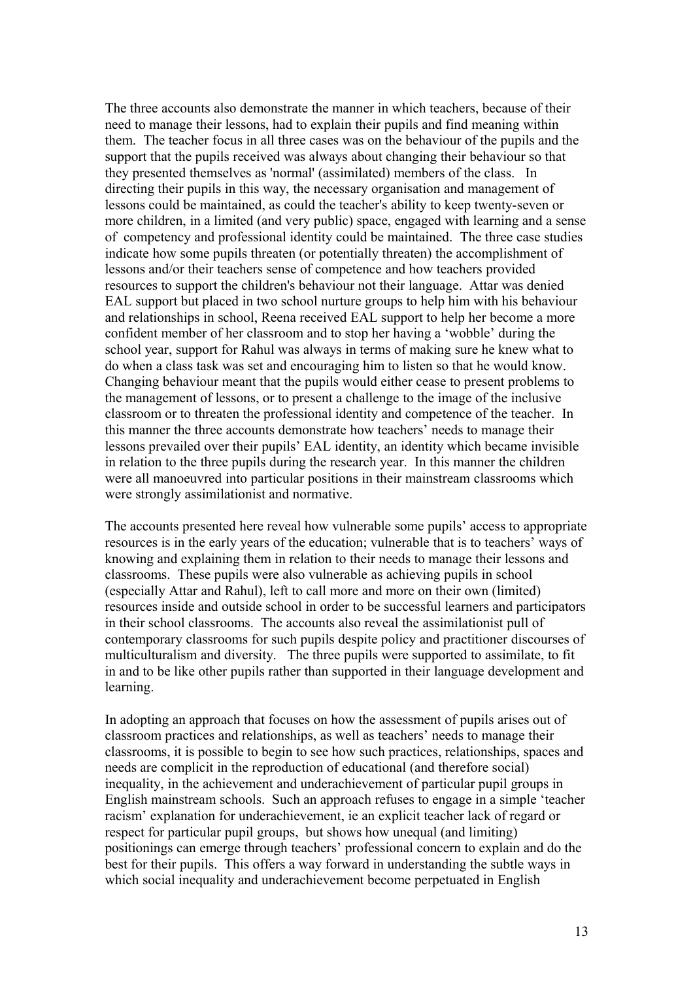The three accounts also demonstrate the manner in which teachers, because of their need to manage their lessons, had to explain their pupils and find meaning within them. The teacher focus in all three cases was on the behaviour of the pupils and the support that the pupils received was always about changing their behaviour so that they presented themselves as 'normal' (assimilated) members of the class. In directing their pupils in this way, the necessary organisation and management of lessons could be maintained, as could the teacher's ability to keep twenty-seven or more children, in a limited (and very public) space, engaged with learning and a sense of competency and professional identity could be maintained. The three case studies indicate how some pupils threaten (or potentially threaten) the accomplishment of lessons and/or their teachers sense of competence and how teachers provided resources to support the children's behaviour not their language. Attar was denied EAL support but placed in two school nurture groups to help him with his behaviour and relationships in school, Reena received EAL support to help her become a more confident member of her classroom and to stop her having a 'wobble' during the school year, support for Rahul was always in terms of making sure he knew what to do when a class task was set and encouraging him to listen so that he would know. Changing behaviour meant that the pupils would either cease to present problems to the management of lessons, or to present a challenge to the image of the inclusive classroom or to threaten the professional identity and competence of the teacher. In this manner the three accounts demonstrate how teachers' needs to manage their lessons prevailed over their pupils' EAL identity, an identity which became invisible in relation to the three pupils during the research year. In this manner the children were all manoeuvred into particular positions in their mainstream classrooms which were strongly assimilationist and normative.

The accounts presented here reveal how vulnerable some pupils' access to appropriate resources is in the early years of the education; vulnerable that is to teachers' ways of knowing and explaining them in relation to their needs to manage their lessons and classrooms. These pupils were also vulnerable as achieving pupils in school (especially Attar and Rahul), left to call more and more on their own (limited) resources inside and outside school in order to be successful learners and participators in their school classrooms. The accounts also reveal the assimilationist pull of contemporary classrooms for such pupils despite policy and practitioner discourses of multiculturalism and diversity. The three pupils were supported to assimilate, to fit in and to be like other pupils rather than supported in their language development and learning.

In adopting an approach that focuses on how the assessment of pupils arises out of classroom practices and relationships, as well as teachers' needs to manage their classrooms, it is possible to begin to see how such practices, relationships, spaces and needs are complicit in the reproduction of educational (and therefore social) inequality, in the achievement and underachievement of particular pupil groups in English mainstream schools. Such an approach refuses to engage in a simple 'teacher racism' explanation for underachievement, ie an explicit teacher lack of regard or respect for particular pupil groups, but shows how unequal (and limiting) positionings can emerge through teachers' professional concern to explain and do the best for their pupils. This offers a way forward in understanding the subtle ways in which social inequality and underachievement become perpetuated in English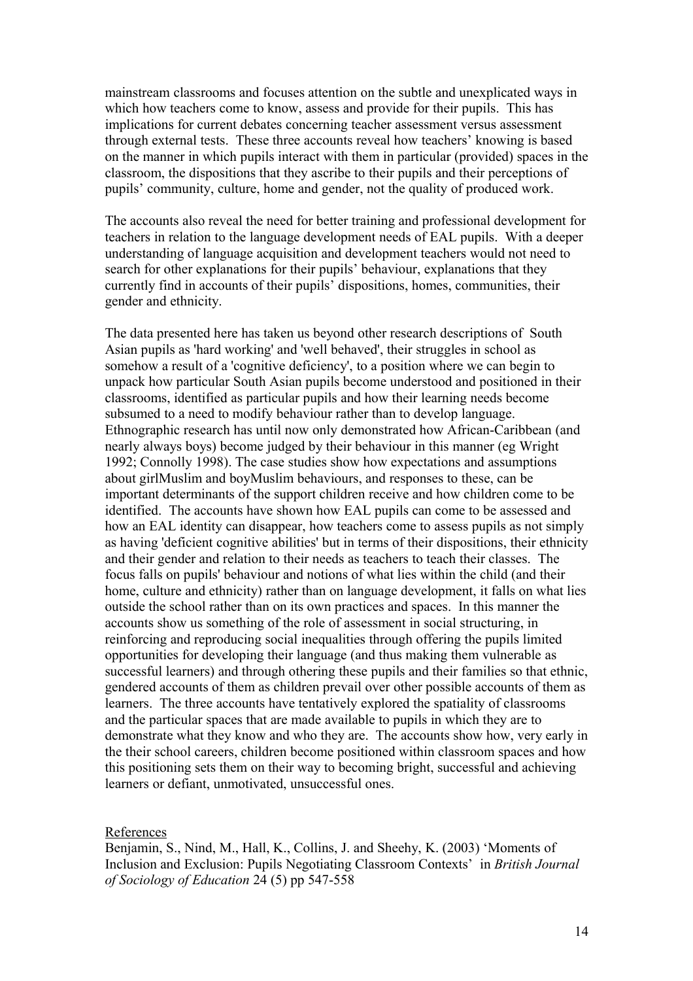mainstream classrooms and focuses attention on the subtle and unexplicated ways in which how teachers come to know, assess and provide for their pupils. This has implications for current debates concerning teacher assessment versus assessment through external tests. These three accounts reveal how teachers' knowing is based on the manner in which pupils interact with them in particular (provided) spaces in the classroom, the dispositions that they ascribe to their pupils and their perceptions of pupils' community, culture, home and gender, not the quality of produced work.

The accounts also reveal the need for better training and professional development for teachers in relation to the language development needs of EAL pupils. With a deeper understanding of language acquisition and development teachers would not need to search for other explanations for their pupils' behaviour, explanations that they currently find in accounts of their pupils' dispositions, homes, communities, their gender and ethnicity.

The data presented here has taken us beyond other research descriptions of South Asian pupils as 'hard working' and 'well behaved', their struggles in school as somehow a result of a 'cognitive deficiency', to a position where we can begin to unpack how particular South Asian pupils become understood and positioned in their classrooms, identified as particular pupils and how their learning needs become subsumed to a need to modify behaviour rather than to develop language. Ethnographic research has until now only demonstrated how African-Caribbean (and nearly always boys) become judged by their behaviour in this manner (eg Wright 1992; Connolly 1998). The case studies show how expectations and assumptions about girlMuslim and boyMuslim behaviours, and responses to these, can be important determinants of the support children receive and how children come to be identified. The accounts have shown how EAL pupils can come to be assessed and how an EAL identity can disappear, how teachers come to assess pupils as not simply as having 'deficient cognitive abilities' but in terms of their dispositions, their ethnicity and their gender and relation to their needs as teachers to teach their classes. The focus falls on pupils' behaviour and notions of what lies within the child (and their home, culture and ethnicity) rather than on language development, it falls on what lies outside the school rather than on its own practices and spaces. In this manner the accounts show us something of the role of assessment in social structuring, in reinforcing and reproducing social inequalities through offering the pupils limited opportunities for developing their language (and thus making them vulnerable as successful learners) and through othering these pupils and their families so that ethnic, gendered accounts of them as children prevail over other possible accounts of them as learners. The three accounts have tentatively explored the spatiality of classrooms and the particular spaces that are made available to pupils in which they are to demonstrate what they know and who they are. The accounts show how, very early in the their school careers, children become positioned within classroom spaces and how this positioning sets them on their way to becoming bright, successful and achieving learners or defiant, unmotivated, unsuccessful ones.

References

Benjamin, S., Nind, M., Hall, K., Collins, J. and Sheehy, K. (2003) 'Moments of Inclusion and Exclusion: Pupils Negotiating Classroom Contexts' in *British Journal of Sociology of Education* 24 (5) pp 547-558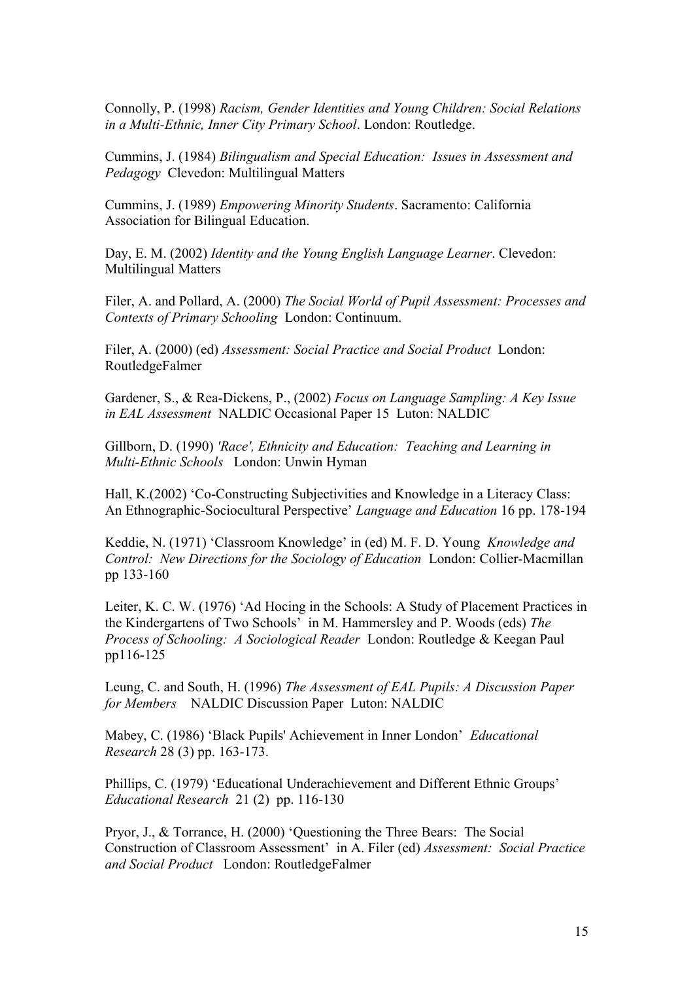Connolly, P. (1998) *Racism, Gender Identities and Young Children: Social Relations in a Multi-Ethnic, Inner City Primary School*. London: Routledge.

Cummins, J. (1984) *Bilingualism and Special Education: Issues in Assessment and Pedagogy* Clevedon: Multilingual Matters

Cummins, J. (1989) *Empowering Minority Students*. Sacramento: California Association for Bilingual Education.

Day, E. M. (2002) *Identity and the Young English Language Learner*. Clevedon: Multilingual Matters

Filer, A. and Pollard, A. (2000) *The Social World of Pupil Assessment: Processes and Contexts of Primary Schooling* London: Continuum.

Filer, A. (2000) (ed) *Assessment: Social Practice and Social Product* London: RoutledgeFalmer

Gardener, S., & Rea-Dickens, P., (2002) *Focus on Language Sampling: A Key Issue in EAL Assessment* NALDIC Occasional Paper 15 Luton: NALDIC

Gillborn, D. (1990) *'Race', Ethnicity and Education: Teaching and Learning in Multi-Ethnic Schools* London: Unwin Hyman

Hall, K.(2002) 'Co-Constructing Subjectivities and Knowledge in a Literacy Class: An Ethnographic-Sociocultural Perspective' *Language and Education* 16 pp. 178-194

Keddie, N. (1971) 'Classroom Knowledge' in (ed) M. F. D. Young *Knowledge and Control: New Directions for the Sociology of Education* London: Collier-Macmillan pp 133-160

Leiter, K. C. W. (1976) 'Ad Hocing in the Schools: A Study of Placement Practices in the Kindergartens of Two Schools' in M. Hammersley and P. Woods (eds) *The Process of Schooling: A Sociological Reader* London: Routledge & Keegan Paul pp116-125

Leung, C. and South, H. (1996) *The Assessment of EAL Pupils: A Discussion Paper for Members* NALDIC Discussion Paper Luton: NALDIC

Mabey, C. (1986) 'Black Pupils' Achievement in Inner London' *Educational Research* 28 (3) pp. 163-173.

Phillips, C. (1979) 'Educational Underachievement and Different Ethnic Groups' *Educational Research* 21 (2) pp. 116-130

Pryor, J., & Torrance, H. (2000) 'Questioning the Three Bears: The Social Construction of Classroom Assessment' in A. Filer (ed) *Assessment: Social Practice and Social Product* London: RoutledgeFalmer